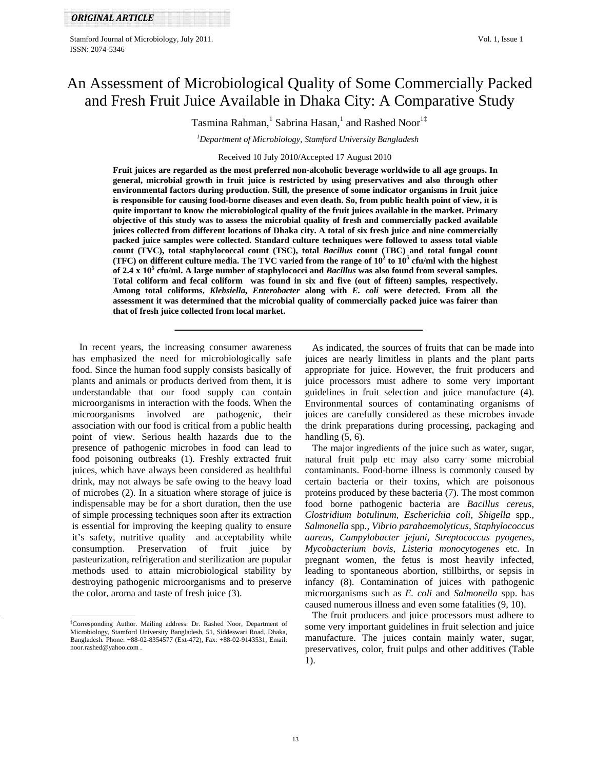# An Assessment of Microbiological Quality of Some Commercially Packed and Fresh Fruit Juice Available in Dhaka City: A Comparative Study

Tasmina Rahman,<sup>1</sup> Sabrina Hasan,<sup>1</sup> and Rashed Noor<sup>1‡</sup>

*1 Department of Microbiology, Stamford University Bangladesh* 

Received 10 July 2010/Accepted 17 August 2010

**Fruit juices are regarded as the most preferred non-alcoholic beverage worldwide to all age groups. In general, microbial growth in fruit juice is restricted by using preservatives and also through other environmental factors during production. Still, the presence of some indicator organisms in fruit juice is responsible for causing food-borne diseases and even death. So, from public health point of view, it is quite important to know the microbiological quality of the fruit juices available in the market. Primary objective of this study was to assess the microbial quality of fresh and commercially packed available juices collected from different locations of Dhaka city. A total of six fresh juice and nine commercially packed juice samples were collected. Standard culture techniques were followed to assess total viable count (TVC), total staphylococcal count (TSC), total** *Bacillus* **count (TBC) and total fungal count**  (TFC) on different culture media. The TVC varied from the range of  $10^2$  to  $10^5$  cfu/ml with the highest **of 2.4 x 10<sup>5</sup> cfu/ml. A large number of staphylococci and** *Bacillus* **was also found from several samples. Total coliform and fecal coliform was found in six and five (out of fifteen) samples, respectively. Among total coliforms,** *Klebsiella***,** *Enterobacter* **along with** *E. coli* **were detected. From all the assessment it was determined that the microbial quality of commercially packed juice was fairer than that of fresh juice collected from local market.** 

 In recent years, the increasing consumer awareness has emphasized the need for microbiologically safe food. Since the human food supply consists basically of plants and animals or products derived from them, it is understandable that our food supply can contain microorganisms in interaction with the foods. When the microorganisms involved are pathogenic, their association with our food is critical from a public health point of view. Serious health hazards due to the presence of pathogenic microbes in food can lead to food poisoning outbreaks (1). Freshly extracted fruit juices, which have always been considered as healthful drink, may not always be safe owing to the heavy load of microbes (2). In a situation where storage of juice is indispensable may be for a short duration, then the use of simple processing techniques soon after its extraction is essential for improving the keeping quality to ensure it's safety, nutritive quality and acceptability while consumption. Preservation of fruit juice by pasteurization, refrigeration and sterilization are popular methods used to attain microbiological stability by destroying pathogenic microorganisms and to preserve the color, aroma and taste of fresh juice (3).

 As indicated, the sources of fruits that can be made into juices are nearly limitless in plants and the plant parts appropriate for juice. However, the fruit producers and juice processors must adhere to some very important guidelines in fruit selection and juice manufacture (4). Environmental sources of contaminating organisms of juices are carefully considered as these microbes invade the drink preparations during processing, packaging and handling  $(5, 6)$ .

 The major ingredients of the juice such as water, sugar, natural fruit pulp etc may also carry some microbial contaminants. Food-borne illness is commonly caused by certain bacteria or their toxins, which are poisonous proteins produced by these bacteria (7). The most common food borne pathogenic bacteria are *Bacillus cereus, Clostridium botulinum, Escherichia coli, Shigella* spp*., Salmonella* spp*., Vibrio parahaemolyticus, Staphylococcus aureus, Campylobacter jejuni, Streptococcus pyogenes, Mycobacterium bovis, Listeria monocytogenes* etc. In pregnant women, the fetus is most heavily infected, leading to spontaneous abortion, stillbirths, or sepsis in infancy (8). Contamination of juices with pathogenic microorganisms such as *E. coli* and *Salmonella* spp. has caused numerous illness and even some fatalities (9, 10).

 The fruit producers and juice processors must adhere to some very important guidelines in fruit selection and juice manufacture. The juices contain mainly water, sugar, preservatives, color, fruit pulps and other additives (Table 1).

<sup>‡</sup> Corresponding Author. Mailing address: Dr. Rashed Noor, Department of Microbiology, Stamford University Bangladesh, 51, Siddeswari Road, Dhaka, Bangladesh. Phone: +88-02-8354577 (Ext-472), Fax: +88-02-9143531, Email: noor.rashed@yahoo.com .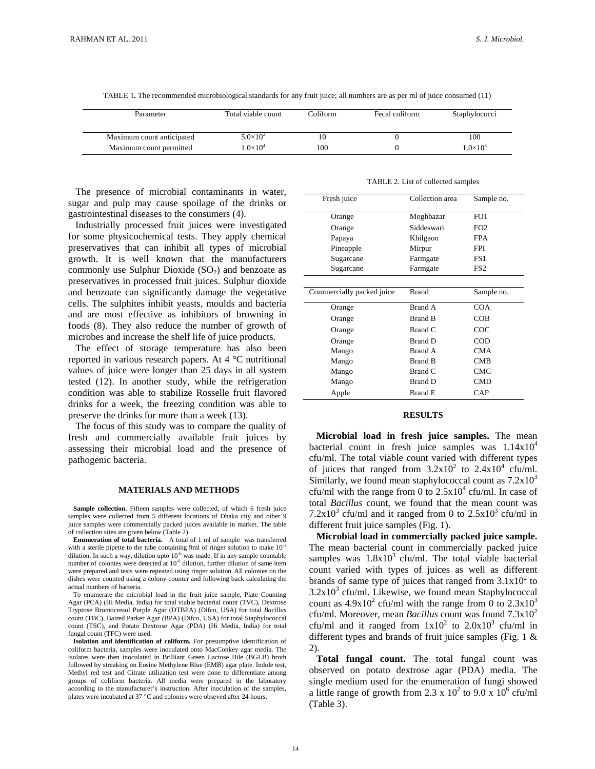| Parameter                 | Total viable count | Coliform | Fecal coliform | Staphylococci   |
|---------------------------|--------------------|----------|----------------|-----------------|
| Maximum count anticipated | $5.0\times10^{3}$  |          |                | 100             |
| Maximum count permitted   | $1.0\times10^{4}$  | 100      |                | $1.0\times10^3$ |

TABLE 1**.** The recommended microbiological standards for any fruit juice; all numbers are as per ml of juice consumed (11)

 The presence of microbial contaminants in water, sugar and pulp may cause spoilage of the drinks or gastrointestinal diseases to the consumers (4).

 Industrially processed fruit juices were investigated for some physicochemical tests. They apply chemical preservatives that can inhibit all types of microbial growth. It is well known that the manufacturers commonly use Sulphur Dioxide  $(SO<sub>2</sub>)$  and benzoate as preservatives in processed fruit juices. Sulphur dioxide and benzoate can significantly damage the vegetative cells. The sulphites inhibit yeasts, moulds and bacteria and are most effective as inhibitors of browning in foods (8). They also reduce the number of growth of microbes and increase the shelf life of juice products.

 The effect of storage temperature has also been reported in various research papers. At 4 °C nutritional values of juice were longer than 25 days in all system tested (12). In another study, while the refrigeration condition was able to stabilize Rosselle fruit flavored drinks for a week, the freezing condition was able to preserve the drinks for more than a week (13).

 The focus of this study was to compare the quality of fresh and commercially available fruit juices by assessing their microbial load and the presence of pathogenic bacteria.

#### **MATERIALS AND METHODS**

Sample collection. Fifteen samples were collected, of which 6 fresh juice samples were collected from 5 different locations of Dhaka city and other 9 juice samples were commercially packed juices available in market. The table of collection sites are given below (Table 2).

 **Enumeration of total bacteria.** A total of 1 ml of sample was transferred with a sterile pipette to the tube containing 9ml of ringer solution to make  $10^{-1}$ dilution. In such a way, dilution upto  $10^{-6}$  was made. If in any sample countable number of colonies were detected at  $10^{-6}$  dilution, further dilution of same item were prepared and tests were repeated using ringer solution. All colonies on the dishes were counted using a colony counter and following back calculating the actual numbers of bacteria.

 To enumerate the microbial load in the fruit juice sample, Plate Counting Agar (PCA) (Hi Media, India) for total viable bacterial count (TVC), Dextrose Tryptose Bromocresol Purple Agar (DTBPA) (Difco, USA) for total *Bacillus* count (TBC), Baired Parker Agar (BPA) (Difco, USA) for total Staphylococcal count (TSC), and Potato Dextrose Agar (PDA) (Hi Media, India) for total fungal count (TFC) were used.

 **Isolation and identification of coliform.** For presumptive identification of coliform bacteria, samples were inoculated onto MacConkey agar media. The isolates were then inoculated in Brilliant Green Lactose Bile (BGLB) broth followed by streaking on Eosine Methylene Blue (EMB) agar plate. Indole test, Methyl red test and Citrate utilization test were done to differentiate among groups of coliform bacteria. All media were prepared in the laboratory according to the manufacturer's instruction. After inoculation of the samples, plates were incubated at 37 °C and colonies were obseved after 24 hours.

|  |  |  |  |  | TABLE 2. List of collected samples |  |  |
|--|--|--|--|--|------------------------------------|--|--|
|--|--|--|--|--|------------------------------------|--|--|

| Fresh juice               | Collection area | Sample no.      |
|---------------------------|-----------------|-----------------|
| Orange                    | Moghbazar       | FO1             |
| Orange                    | Siddeswari      | FO <sub>2</sub> |
| Papaya                    | Khilgaon        | <b>FPA</b>      |
| Pineapple                 | Mirpur          | <b>FPI</b>      |
| Sugarcane                 | Farmgate        | FS1             |
| Sugarcane                 | Farmgate        | FS <sub>2</sub> |
|                           |                 |                 |
| Commercially packed juice | <b>Brand</b>    | Sample no.      |
| Orange                    | Brand A         | <b>COA</b>      |
| Orange                    | <b>Brand B</b>  | COB             |
| Orange                    | Brand C         | COC             |
| Orange                    | Brand D         | $\rm{COD}$      |
| Mango                     | Brand A         | <b>CMA</b>      |
| Mango                     | Brand B         | <b>CMB</b>      |
| Mango                     | Brand C         | CMC             |
| Mango                     | Brand D         | <b>CMD</b>      |
| Apple                     | <b>Brand E</b>  | CAP             |

# **RESULTS**

 cfu/ml. The total viable count varied with different types or juices that ranged from  $3.2x10$  to  $2.4x10$  cru/ml.<br>Similarly, we found mean staphylococcal count as  $7.2x10<sup>3</sup>$  **Microbial load in fresh juice samples.** The mean bacterial count in fresh juice samples was  $1.14x10^4$ of juices that ranged from  $3.2 \times 10^2$  to  $2.4 \times 10^4$  cfu/ml. cfu/ml with the range from 0 to  $2.5x10^4$  cfu/ml. In case of total *Bacillus* count, we found that the mean count was 7.2x10<sup>3</sup> cfu/ml and it ranged from 0 to  $2.5x10^3$  cfu/ml in different fruit juice samples (Fig. 1).

**Microbial load in commercially packed juice sample.**  The mean bacterial count in commercially packed juice samples was  $1.8x10<sup>3</sup>$  cfu/ml. The total viable bacterial count varied with types of juices as well as different brands of same type of juices that ranged from  $3.1 \times 10^2$  to  $3.2x10<sup>3</sup>$  cfu/ml. Likewise, we found mean Staphylococcal count as  $4.9x10^2$  cfu/ml with the range from 0 to  $2.3x10^3$ cfu/ml. Moreover, mean *Bacillus* count was found 7.3x10<sup>2</sup> cfu/ml and it ranged from  $1x10^2$  to  $2.0x10^3$  cfu/ml in different types and brands of fruit juice samples (Fig. 1  $\&$ 2).

 **Total fungal count.** The total fungal count was observed on potato dextrose agar (PDA) media. The single medium used for the enumeration of fungi showed a little range of growth from 2.3 x  $10^2$  to 9.0 x  $10^6$  cfu/ml (Table 3).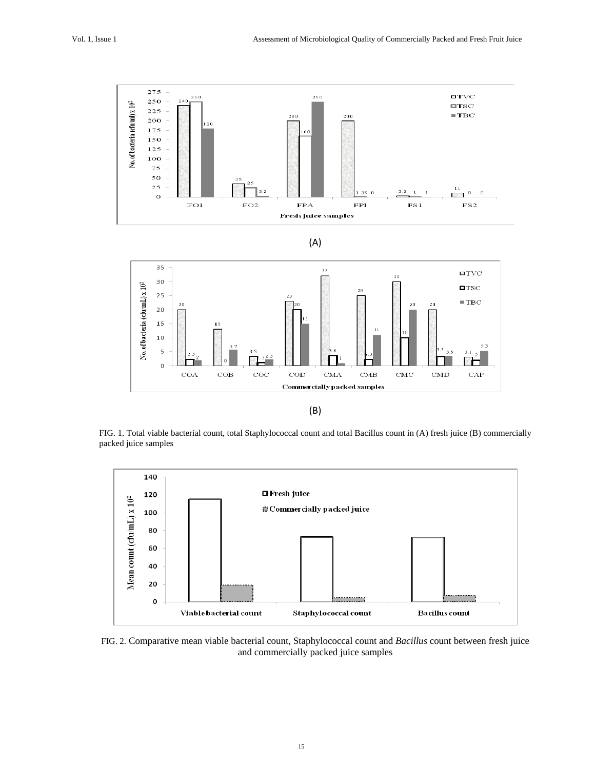







FIG. 1. Total viable bacterial count, total Staphylococcal count and total Bacillus count in (A) fresh juice (B) commercially packed juice samples



FIG. 2. Comparative mean viable bacterial count, Staphylococcal count and *Bacillus* count between fresh juice and commercially packed juice samples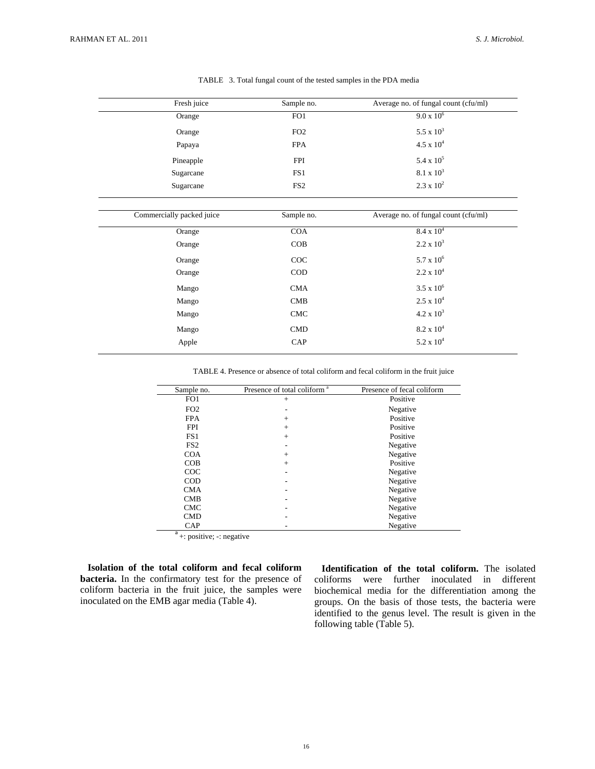| Fresh juice               | Sample no.      | Average no. of fungal count (cfu/ml) |
|---------------------------|-----------------|--------------------------------------|
| Orange                    | FO1             | $9.0 \times 10^6$                    |
| Orange                    | FO <sub>2</sub> | 5.5 x $10^3$                         |
| Papaya                    | <b>FPA</b>      | $4.5 \times 10^{4}$                  |
| Pineapple                 | <b>FPI</b>      | 5.4 x $10^5$                         |
| Sugarcane                 | FS1             | $8.1 \times 10^3$                    |
| Sugarcane                 | FS <sub>2</sub> | $2.3 \times 10^{2}$                  |
| Commercially packed juice | Sample no.      | Average no. of fungal count (cfu/ml) |
| Orange                    | <b>COA</b>      | $8.4 \times 10^4$                    |
| Orange                    | COB             | $2.2 \times 10^3$                    |
| Orange                    | COC             | $5.7 \times 10^6$                    |
| Orange                    | <b>COD</b>      | $2.2 \times 10^4$                    |
| Mango                     | <b>CMA</b>      | $3.5 \times 10^{6}$                  |
| Mango                     | CMB             | $2.5 \times 10^4$                    |
| Mango                     | <b>CMC</b>      | $4.2 \times 10^3$                    |
| Mango                     | CMD             | $8.2 \times 10^4$                    |
| Apple                     | CAP             | $5.2 \times 10^4$                    |
|                           |                 |                                      |

TABLE 3. Total fungal count of the tested samples in the PDA media

TABLE 4. Presence or absence of total coliform and fecal coliform in the fruit juice

| Sample no.      | Presence of total coliform <sup>a</sup> | Presence of fecal coliform |
|-----------------|-----------------------------------------|----------------------------|
| FO <sub>1</sub> | $^{+}$                                  | Positive                   |
| FO <sub>2</sub> |                                         | Negative                   |
| <b>FPA</b>      | $+$                                     | Positive                   |
| <b>FPI</b>      | $+$                                     | Positive                   |
| FS <sub>1</sub> | $+$                                     | Positive                   |
| FS <sub>2</sub> |                                         | Negative                   |
| <b>COA</b>      | $^{+}$                                  | Negative                   |
| COB             | $+$                                     | Positive                   |
| COC             |                                         | Negative                   |
| COD             |                                         | Negative                   |
| <b>CMA</b>      |                                         | Negative                   |
| <b>CMB</b>      |                                         | Negative                   |
| <b>CMC</b>      |                                         | Negative                   |
| <b>CMD</b>      |                                         | Negative                   |
| CAP             |                                         | Negative                   |

<u>a da santa da sensa da sensa da sensa da sensa da sensa da sensa da sensa da sensa da sensa da sensa da sensa </u>  $^a$  +: positive; -: negative

 **Isolation of the total coliform and fecal coliform bacteria.** In the confirmatory test for the presence of coliform bacteria in the fruit juice, the samples were inoculated on the EMB agar media (Table 4).

 **Identification of the total coliform.** The isolated coliforms were further inoculated in different biochemical media for the differentiation among the groups. On the basis of those tests, the bacteria were identified to the genus level. The result is given in the following table (Table 5).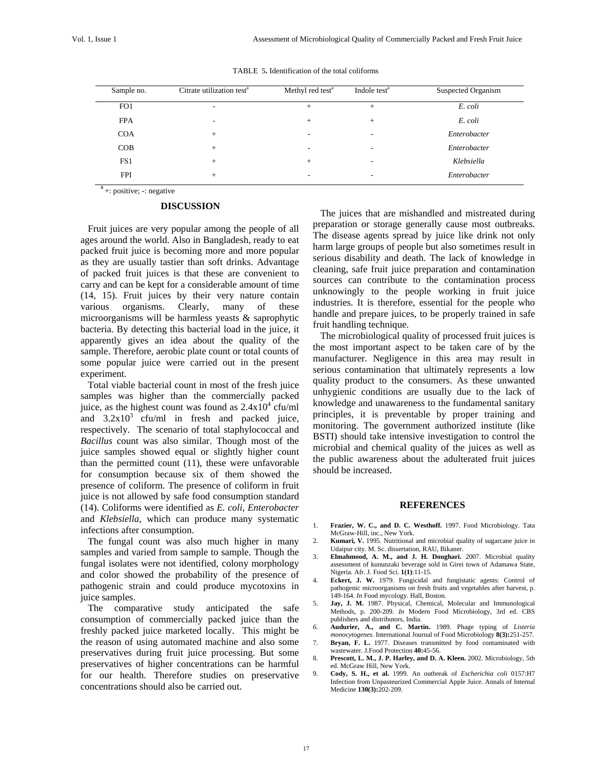| Sample no.      | Citrate utilization test <sup>a</sup> | Methyl red test <sup>a</sup> | Indole test <sup>a</sup> | Suspected Organism |
|-----------------|---------------------------------------|------------------------------|--------------------------|--------------------|
| FO <sub>1</sub> | ۰                                     |                              | $^{+}$                   | E. coli            |
| <b>FPA</b>      | ۰                                     | $+$                          | $^{+}$                   | E. coli            |
| <b>COA</b>      | $^{+}$                                | -                            | -                        | Enterobacter       |
| COB             | $^{+}$                                |                              |                          | Enterobacter       |
| FS1             | $^{+}$                                | $^{+}$                       |                          | Klebsiella         |
| <b>FPI</b>      | $^{+}$                                |                              | -                        | Enterobacter       |

TABLE 5**.** Identification of the total coliforms

 $a^a$  +: positive; -: negative

### **DISCUSSION**

 Fruit juices are very popular among the people of all ages around the world. Also in Bangladesh, ready to eat packed fruit juice is becoming more and more popular as they are usually tastier than soft drinks. Advantage of packed fruit juices is that these are convenient to carry and can be kept for a considerable amount of time (14, 15). Fruit juices by their very nature contain various organisms. Clearly, many of these microorganisms will be harmless yeasts & saprophytic bacteria. By detecting this bacterial load in the juice, it apparently gives an idea about the quality of the sample. Therefore, aerobic plate count or total counts of some popular juice were carried out in the present experiment.

 Total viable bacterial count in most of the fresh juice samples was higher than the commercially packed juice, as the highest count was found as  $2.4 \times 10^4$  cfu/ml and  $3.2x10^3$  cfu/ml in fresh and packed juice, respectively. The scenario of total staphylococcal and *Bacillus* count was also similar. Though most of the juice samples showed equal or slightly higher count than the permitted count (11), these were unfavorable for consumption because six of them showed the presence of coliform. The presence of coliform in fruit juice is not allowed by safe food consumption standard (14). Coliforms were identified as *E. coli*, *Enterobacter*  and *Klebsiella*, which can produce many systematic infections after consumption.

 The fungal count was also much higher in many samples and varied from sample to sample. Though the fungal isolates were not identified, colony morphology and color showed the probability of the presence of pathogenic strain and could produce mycotoxins in juice samples.

 The comparative study anticipated the safe consumption of commercially packed juice than the freshly packed juice marketed locally. This might be the reason of using automated machine and also some preservatives during fruit juice processing. But some preservatives of higher concentrations can be harmful for our health. Therefore studies on preservative concentrations should also be carried out.

 industries. It is therefore, essential for the people who The juices that are mishandled and mistreated during preparation or storage generally cause most outbreaks. The disease agents spread by juice like drink not only harm large groups of people but also sometimes result in serious disability and death. The lack of knowledge in cleaning, safe fruit juice preparation and contamination sources can contribute to the contamination process unknowingly to the people working in fruit juice handle and prepare juices, to be properly trained in safe fruit handling technique.

 The microbiological quality of processed fruit juices is the most important aspect to be taken care of by the manufacturer. Negligence in this area may result in serious contamination that ultimately represents a low quality product to the consumers. As these unwanted unhygienic conditions are usually due to the lack of knowledge and unawareness to the fundamental sanitary principles, it is preventable by proper training and monitoring. The government authorized institute (like BSTI) should take intensive investigation to control the microbial and chemical quality of the juices as well as the public awareness about the adulterated fruit juices should be increased.

## **REFERENCES**

- 1. **Frazier, W. C., and D. C. Westhoff.** 1997. Food Microbiology. Tata McGraw-Hill, inc., New York.
- 2. **Kumari, V.** 1995. Nutritional and microbial quality of sugarcane juice in Udaipur city. M. Sc. dissertation, RAU, Bikaner.
- 3. **Elmahmood, A. M., and J. H. Doughari.** 2007. Microbial quality assessment of kununzaki beverage sold in Girei town of Adamawa State, Nigeria. Afr. J. Food Sci. **1(1)**:11-15.
- 4. **Eckert, J. W.** 1979. Fungicidal and fungistatic agents: Control of pathogenic microorganisms on fresh fruits and vegetables after harvest, p. 149-164. *In* Food mycology. Hall, Boston.
- 5. **Jay, J. M.** 1987. Physical, Chemical, Molecular and Immunological Methods, p. 200-209. *In* Modern Food Microbiology, 3rd ed. CBS publishers and distributors, India.
- *6.* **Audurier, A., and C. Martin.** 1989. Phage typing of *Listeria monocytogenes.* International Journal of Food Microbiology **8(3):**251-257*.*
- 7. **Bryan, F. L.** 1977. Diseases transmitted by food contaminated with wastewater. J.Food Protection **40:**45-56.
- 8. **Prescott, L. M., J. P. Harley, and D. A. Kleen.** 2002. Microbiology, 5th ed. McGraw Hill, New York.
- 9. **Cody, S. H., et al.** 1999. An outbreak of *Escherichia coli* 0157:H7 Infection from Unpasteurized Commercial Apple Juice. Annals of Internal Medicine **130(3):**202-209.